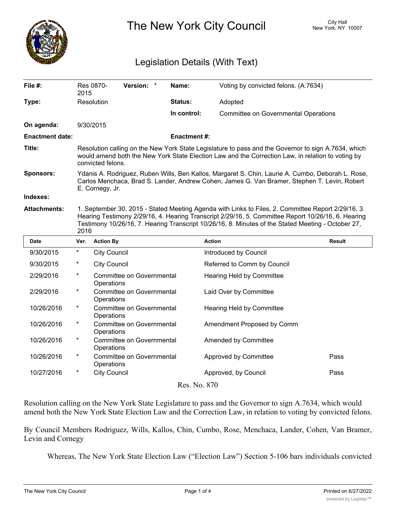

The New York City Council New York, NY 10007

## Legislation Details (With Text)

| File #:                | 2015                                                                                                                                                                                                                                                                                                                   | Res 0870-                                      | Version: * |  | Name:              | Voting by convicted felons. (A.7634)        |               |
|------------------------|------------------------------------------------------------------------------------------------------------------------------------------------------------------------------------------------------------------------------------------------------------------------------------------------------------------------|------------------------------------------------|------------|--|--------------------|---------------------------------------------|---------------|
| Type:                  |                                                                                                                                                                                                                                                                                                                        | Resolution                                     |            |  | Status:            | Adopted                                     |               |
|                        |                                                                                                                                                                                                                                                                                                                        |                                                |            |  | In control:        | <b>Committee on Governmental Operations</b> |               |
| On agenda:             | 9/30/2015                                                                                                                                                                                                                                                                                                              |                                                |            |  |                    |                                             |               |
| <b>Enactment date:</b> |                                                                                                                                                                                                                                                                                                                        |                                                |            |  | <b>Enactment#:</b> |                                             |               |
| Title:                 | Resolution calling on the New York State Legislature to pass and the Governor to sign A.7634, which<br>would amend both the New York State Election Law and the Correction Law, in relation to voting by<br>convicted felons.                                                                                          |                                                |            |  |                    |                                             |               |
| Sponsors:              | Ydanis A. Rodriguez, Ruben Wills, Ben Kallos, Margaret S. Chin, Laurie A. Cumbo, Deborah L. Rose,<br>Carlos Menchaca, Brad S. Lander, Andrew Cohen, James G. Van Bramer, Stephen T. Levin, Robert<br>E. Cornegy, Jr.                                                                                                   |                                                |            |  |                    |                                             |               |
| Indexes:               |                                                                                                                                                                                                                                                                                                                        |                                                |            |  |                    |                                             |               |
| <b>Attachments:</b>    | 1. September 30, 2015 - Stated Meeting Agenda with Links to Files, 2. Committee Report 2/29/16, 3.<br>Hearing Testimony 2/29/16, 4. Hearing Transcript 2/29/16, 5. Committee Report 10/26/16, 6. Hearing<br>Testimony 10/26/16, 7. Hearing Transcript 10/26/16, 8. Minutes of the Stated Meeting - October 27,<br>2016 |                                                |            |  |                    |                                             |               |
| <b>Date</b>            | Ver.                                                                                                                                                                                                                                                                                                                   | <b>Action By</b>                               |            |  |                    | <b>Action</b>                               | <b>Result</b> |
|                        |                                                                                                                                                                                                                                                                                                                        |                                                |            |  |                    |                                             |               |
| 9/30/2015              | *                                                                                                                                                                                                                                                                                                                      | <b>City Council</b>                            |            |  |                    | Introduced by Council                       |               |
| 9/30/2015              | $^{\ast}$                                                                                                                                                                                                                                                                                                              | <b>City Council</b>                            |            |  |                    | Referred to Comm by Council                 |               |
| 2/29/2016              | $\star$                                                                                                                                                                                                                                                                                                                | Committee on Governmental<br>Operations        |            |  |                    | Hearing Held by Committee                   |               |
| 2/29/2016              | $^\ast$                                                                                                                                                                                                                                                                                                                | Committee on Governmental<br>Operations        |            |  |                    | Laid Over by Committee                      |               |
| 10/26/2016             | $\star$                                                                                                                                                                                                                                                                                                                | Committee on Governmental<br>Operations        |            |  |                    | Hearing Held by Committee                   |               |
| 10/26/2016             | $\ast$                                                                                                                                                                                                                                                                                                                 | <b>Committee on Governmental</b><br>Operations |            |  |                    | Amendment Proposed by Comm                  |               |
| 10/26/2016             | $^\star$                                                                                                                                                                                                                                                                                                               | <b>Committee on Governmental</b><br>Operations |            |  |                    | Amended by Committee                        |               |
| 10/26/2016             | $\ast$                                                                                                                                                                                                                                                                                                                 | Committee on Governmental<br>Operations        |            |  |                    | Approved by Committee                       | Pass          |
| 10/27/2016             | $\ast$                                                                                                                                                                                                                                                                                                                 | <b>City Council</b>                            |            |  |                    | Approved, by Council                        | Pass          |

Resolution calling on the New York State Legislature to pass and the Governor to sign A.7634, which would amend both the New York State Election Law and the Correction Law, in relation to voting by convicted felons.

By Council Members Rodriguez, Wills, Kallos, Chin, Cumbo, Rose, Menchaca, Lander, Cohen, Van Bramer, Levin and Cornegy

Whereas, The New York State Election Law ("Election Law") Section 5-106 bars individuals convicted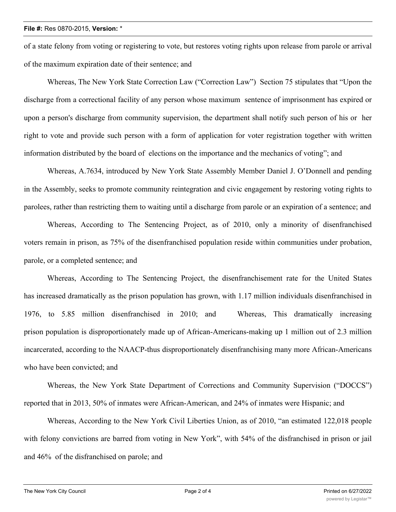## **File #:** Res 0870-2015, **Version:** \*

of a state felony from voting or registering to vote, but restores voting rights upon release from parole or arrival of the maximum expiration date of their sentence; and

Whereas, The New York State Correction Law ("Correction Law") Section 75 stipulates that "Upon the discharge from a correctional facility of any person whose maximum sentence of imprisonment has expired or upon a person's discharge from community supervision, the department shall notify such person of his or her right to vote and provide such person with a form of application for voter registration together with written information distributed by the board of elections on the importance and the mechanics of voting"; and

Whereas, A.7634, introduced by New York State Assembly Member Daniel J. O'Donnell and pending in the Assembly, seeks to promote community reintegration and civic engagement by restoring voting rights to parolees, rather than restricting them to waiting until a discharge from parole or an expiration of a sentence; and

Whereas, According to The Sentencing Project, as of 2010, only a minority of disenfranchised voters remain in prison, as 75% of the disenfranchised population reside within communities under probation, parole, or a completed sentence; and

Whereas, According to The Sentencing Project, the disenfranchisement rate for the United States has increased dramatically as the prison population has grown, with 1.17 million individuals disenfranchised in 1976, to 5.85 million disenfranchised in 2010; and Whereas, This dramatically increasing prison population is disproportionately made up of African-Americans-making up 1 million out of 2.3 million incarcerated, according to the NAACP-thus disproportionately disenfranchising many more African-Americans who have been convicted; and

Whereas, the New York State Department of Corrections and Community Supervision ("DOCCS") reported that in 2013, 50% of inmates were African-American, and 24% of inmates were Hispanic; and

Whereas, According to the New York Civil Liberties Union, as of 2010, "an estimated 122,018 people with felony convictions are barred from voting in New York", with 54% of the disfranchised in prison or jail and 46% of the disfranchised on parole; and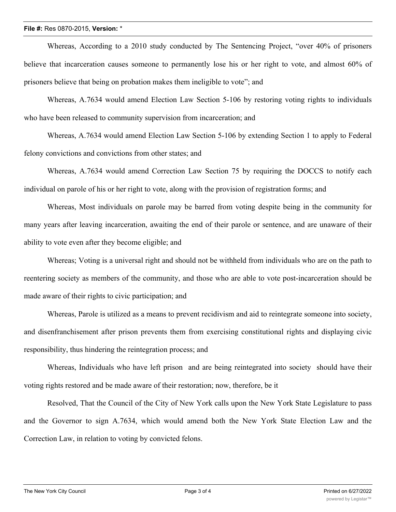## **File #:** Res 0870-2015, **Version:** \*

Whereas, According to a 2010 study conducted by The Sentencing Project, "over 40% of prisoners believe that incarceration causes someone to permanently lose his or her right to vote, and almost 60% of prisoners believe that being on probation makes them ineligible to vote"; and

Whereas, A.7634 would amend Election Law Section 5-106 by restoring voting rights to individuals who have been released to community supervision from incarceration; and

Whereas, A.7634 would amend Election Law Section 5-106 by extending Section 1 to apply to Federal felony convictions and convictions from other states; and

Whereas, A.7634 would amend Correction Law Section 75 by requiring the DOCCS to notify each individual on parole of his or her right to vote, along with the provision of registration forms; and

Whereas, Most individuals on parole may be barred from voting despite being in the community for many years after leaving incarceration, awaiting the end of their parole or sentence, and are unaware of their ability to vote even after they become eligible; and

Whereas; Voting is a universal right and should not be withheld from individuals who are on the path to reentering society as members of the community, and those who are able to vote post-incarceration should be made aware of their rights to civic participation; and

Whereas, Parole is utilized as a means to prevent recidivism and aid to reintegrate someone into society, and disenfranchisement after prison prevents them from exercising constitutional rights and displaying civic responsibility, thus hindering the reintegration process; and

Whereas, Individuals who have left prison and are being reintegrated into society should have their voting rights restored and be made aware of their restoration; now, therefore, be it

Resolved, That the Council of the City of New York calls upon the New York State Legislature to pass and the Governor to sign A.7634, which would amend both the New York State Election Law and the Correction Law, in relation to voting by convicted felons.